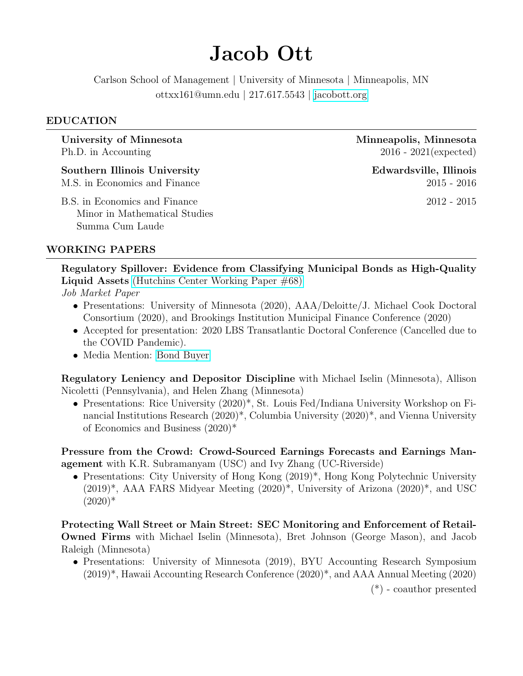# Jacob Ott

Carlson School of Management | University of Minnesota | Minneapolis, MN ottxx161@umn.edu | 217.617.5543 | [jacobott.org](http://jacobott.org)

#### EDUCATION

Ph.D. in Accounting 2016 - 2021(expected)

Southern Illinois University Edwardsville, Illinois

B.S. in Economics and Finance 2012 - 2015 Minor in Mathematical Studies Summa Cum Laude

University of Minnesota and Minneapolis, Minnesota

M.S. in Economics and Finance 2015 - 2016

# WORKING PAPERS

Regulatory Spillover: Evidence from Classifying Municipal Bonds as High-Quality Liquid Assets [\(Hutchins Center Working Paper #68\)](https://www.brookings.edu/wp-content/uploads/2020/09/WP68-Ott.pdf)

Job Market Paper

- Presentations: University of Minnesota (2020), AAA/Deloitte/J. Michael Cook Doctoral Consortium (2020), and Brookings Institution Municipal Finance Conference (2020)
- Accepted for presentation: 2020 LBS Transatlantic Doctoral Conference (Cancelled due to the COVID Pandemic).
- Media Mention: [Bond Buyer](https://www.bondbuyer.com/news/study-finds-hqla-classification-of-munis-lowered-issuance-cost)

Regulatory Leniency and Depositor Discipline with Michael Iselin (Minnesota), Allison Nicoletti (Pennsylvania), and Helen Zhang (Minnesota)

• Presentations: Rice University (2020)\*, St. Louis Fed/Indiana University Workshop on Financial Institutions Research (2020)\*, Columbia University (2020)\*, and Vienna University of Economics and Business (2020)\*

Pressure from the Crowd: Crowd-Sourced Earnings Forecasts and Earnings Management with K.R. Subramanyam (USC) and Ivy Zhang (UC-Riverside)

• Presentations: City University of Hong Kong  $(2019)^*$ , Hong Kong Polytechnic University  $(2019)^*$ , AAA FARS Midyear Meeting  $(2020)^*$ , University of Arizona  $(2020)^*$ , and USC  $(2020)*$ 

Protecting Wall Street or Main Street: SEC Monitoring and Enforcement of Retail-Owned Firms with Michael Iselin (Minnesota), Bret Johnson (George Mason), and Jacob Raleigh (Minnesota)

• Presentations: University of Minnesota (2019), BYU Accounting Research Symposium (2019)\*, Hawaii Accounting Research Conference (2020)\*, and AAA Annual Meeting (2020)

(\*) - coauthor presented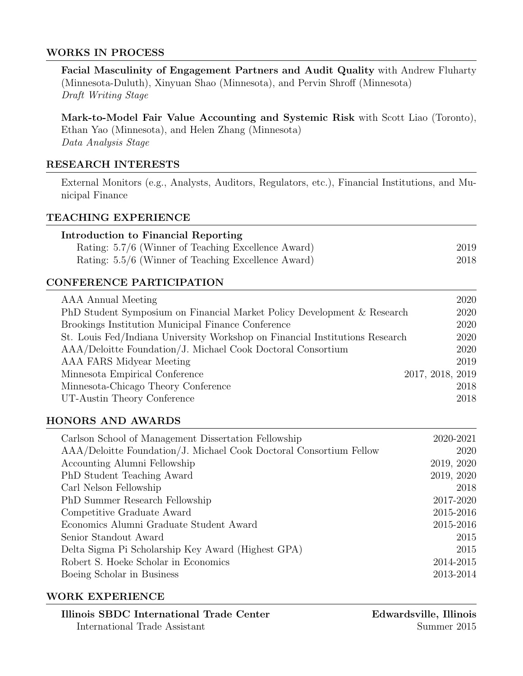#### WORKS IN PROCESS

Facial Masculinity of Engagement Partners and Audit Quality with Andrew Fluharty (Minnesota-Duluth), Xinyuan Shao (Minnesota), and Pervin Shroff (Minnesota) Draft Writing Stage

Mark-to-Model Fair Value Accounting and Systemic Risk with Scott Liao (Toronto), Ethan Yao (Minnesota), and Helen Zhang (Minnesota) Data Analysis Stage

# RESEARCH INTERESTS

External Monitors (e.g., Analysts, Auditors, Regulators, etc.), Financial Institutions, and Municipal Finance

#### TEACHING EXPERIENCE

| Introduction to Financial Reporting                 |      |
|-----------------------------------------------------|------|
| Rating: 5.7/6 (Winner of Teaching Excellence Award) | 2019 |
| Rating: 5.5/6 (Winner of Teaching Excellence Award) | 2018 |

# CONFERENCE PARTICIPATION

| AAA Annual Meeting                                                           | 2020             |
|------------------------------------------------------------------------------|------------------|
| PhD Student Symposium on Financial Market Policy Development & Research      | 2020             |
| Brookings Institution Municipal Finance Conference                           | 2020             |
| St. Louis Fed/Indiana University Workshop on Financial Institutions Research | 2020             |
| AAA/Deloitte Foundation/J. Michael Cook Doctoral Consortium                  | 2020             |
| AAA FARS Midyear Meeting                                                     | 2019             |
| Minnesota Empirical Conference                                               | 2017, 2018, 2019 |
| Minnesota-Chicago Theory Conference                                          | 2018             |
| UT-Austin Theory Conference                                                  | 2018             |

#### HONORS AND AWARDS

| Carlson School of Management Dissertation Fellowship               | 2020-2021  |
|--------------------------------------------------------------------|------------|
| AAA/Deloitte Foundation/J. Michael Cook Doctoral Consortium Fellow | 2020       |
| Accounting Alumni Fellowship                                       | 2019, 2020 |
| PhD Student Teaching Award                                         | 2019, 2020 |
| Carl Nelson Fellowship                                             | 2018       |
| PhD Summer Research Fellowship                                     | 2017-2020  |
| Competitive Graduate Award                                         | 2015-2016  |
| Economics Alumni Graduate Student Award                            | 2015-2016  |
| Senior Standout Award                                              | 2015       |
| Delta Sigma Pi Scholarship Key Award (Highest GPA)                 | 2015       |
| Robert S. Hoeke Scholar in Economics                               | 2014-2015  |
| Boeing Scholar in Business                                         | 2013-2014  |

#### WORK EXPERIENCE

Illinois SBDC International Trade Center Edwardsville, Illinois International Trade Assistant Summer 2015